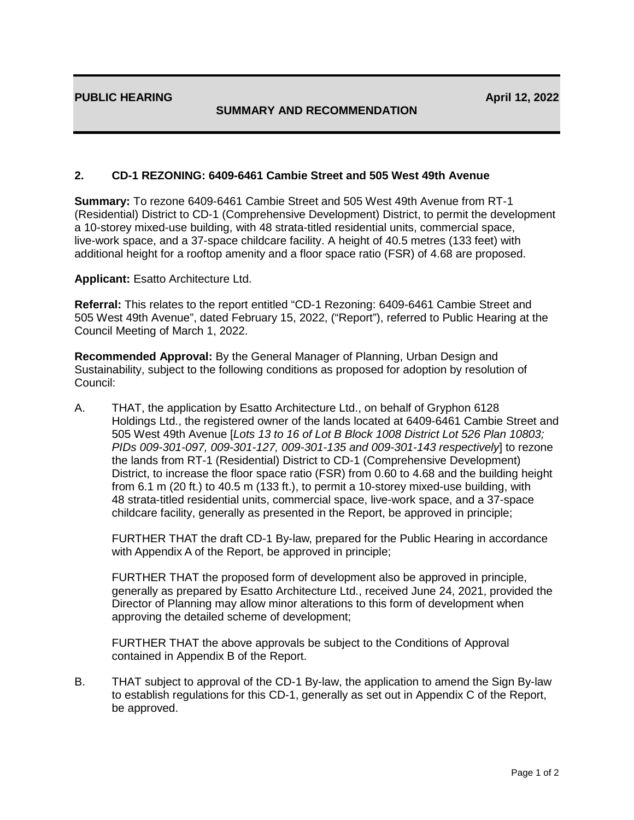## **SUMMARY AND RECOMMENDATION**

## **2. CD-1 REZONING: 6409-6461 Cambie Street and 505 West 49th Avenue**

**Summary:** To rezone 6409-6461 Cambie Street and 505 West 49th Avenue from RT-1 (Residential) District to CD-1 (Comprehensive Development) District, to permit the development a 10-storey mixed-use building, with 48 strata-titled residential units, commercial space, live-work space, and a 37-space childcare facility. A height of 40.5 metres (133 feet) with additional height for a rooftop amenity and a floor space ratio (FSR) of 4.68 are proposed.

**Applicant:** Esatto Architecture Ltd.

**Referral:** This relates to the report entitled "CD-1 Rezoning: 6409-6461 Cambie Street and 505 West 49th Avenue", dated February 15, 2022, ("Report"), referred to Public Hearing at the Council Meeting of March 1, 2022.

**Recommended Approval:** By the General Manager of Planning, Urban Design and Sustainability, subject to the following conditions as proposed for adoption by resolution of Council:

A. THAT, the application by Esatto Architecture Ltd., on behalf of Gryphon 6128 Holdings Ltd., the registered owner of the lands located at 6409-6461 Cambie Street and 505 West 49th Avenue [*Lots 13 to 16 of Lot B Block 1008 District Lot 526 Plan 10803; PIDs 009-301-097, 009-301-127, 009-301-135 and 009-301-143 respectively*] to rezone the lands from RT-1 (Residential) District to CD-1 (Comprehensive Development) District, to increase the floor space ratio (FSR) from 0.60 to 4.68 and the building height from 6.1 m (20 ft.) to 40.5 m (133 ft.), to permit a 10-storey mixed-use building, with 48 strata-titled residential units, commercial space, live-work space, and a 37-space childcare facility, generally as presented in the Report, be approved in principle;

FURTHER THAT the draft CD-1 By-law, prepared for the Public Hearing in accordance with Appendix A of the Report, be approved in principle;

FURTHER THAT the proposed form of development also be approved in principle, generally as prepared by Esatto Architecture Ltd., received June 24, 2021, provided the Director of Planning may allow minor alterations to this form of development when approving the detailed scheme of development;

FURTHER THAT the above approvals be subject to the Conditions of Approval contained in Appendix B of the Report.

B. THAT subject to approval of the CD-1 By-law, the application to amend the Sign By-law to establish regulations for this CD-1, generally as set out in Appendix C of the Report, be approved.